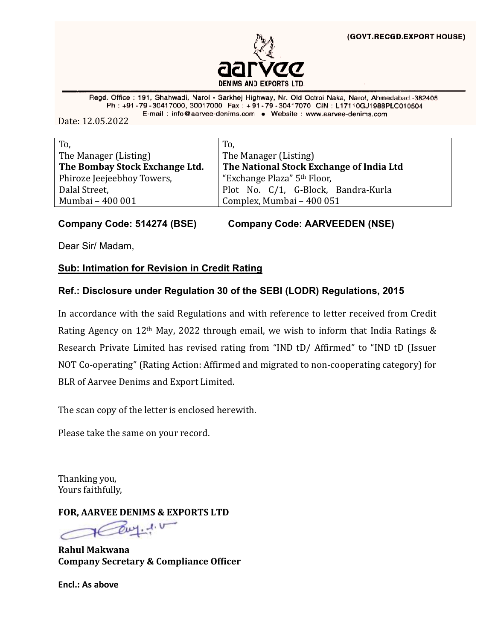

Regd. Office: 191, Shahwadi, Narol - Sarkhej Highway, Nr. Old Octroi Naka, Narol, Ahmedabad.-382405. Ph: +91-79-30417000, 30017000 Fax: +91-79-30417070 CIN: L17110GJ1988PLC010504 E-mail: info@aarvee-denims.com . Website: www.aarvee-denims.com

Date: 12.05.2022

| To,                            | To,                                      |  |
|--------------------------------|------------------------------------------|--|
| The Manager (Listing)          | The Manager (Listing)                    |  |
| The Bombay Stock Exchange Ltd. | The National Stock Exchange of India Ltd |  |
| Phiroze Jeejeebhoy Towers,     | "Exchange Plaza" 5 <sup>th</sup> Floor,  |  |
| Dalal Street,                  | Plot No. C/1, G-Block, Bandra-Kurla      |  |
| Mumbai - 400 001               | Complex, Mumbai - 400 051                |  |

**Company Code: 514274 (BSE) Company Code: AARVEEDEN (NSE)**

Dear Sir/ Madam,

### **Sub: Intimation for Revision in Credit Rating**

### **Ref.: Disclosure under Regulation 30 of the SEBI (LODR) Regulations, 2015**

In accordance with the said Regulations and with reference to letter received from Credit Rating Agency on 12th May, 2022 through email, we wish to inform that India Ratings & Research Private Limited has revised rating from "IND tD/ Affirmed" to "IND tD (Issuer NOT Co-operating" (Rating Action: Affirmed and migrated to non-cooperating category) for BLR of Aarvee Denims and Export Limited.

The scan copy of the letter is enclosed herewith.

Please take the same on your record.

Thanking you, Yours faithfully,

**FOR, AARVEE DENIMS & EXPORTS LTD** 

**Rahul Makwana Company Secretary & Compliance Officer**

**Encl.: As above**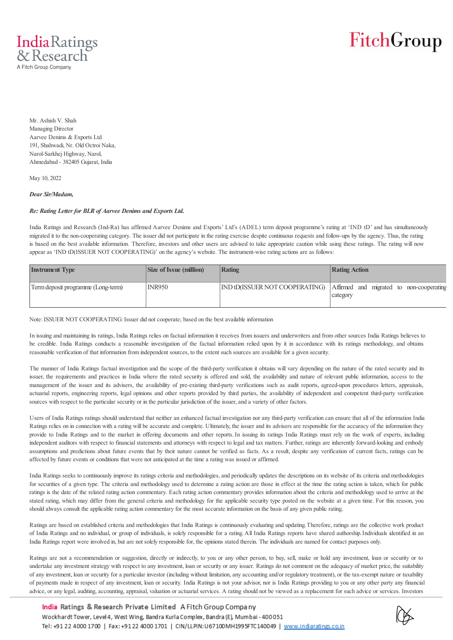

# FitchGroup

Mr. Ashish V. Shah Managing Director Aarvee Denims & Exports Ltd 191, Shahwadi, Nr. Old Octroi Naka, Narol-Sarkhej Highway, Narol, Ahmedabad - 382405 Gujarat, India

May 10, 2022

*Dear Sir/Madam,*

#### *Re: Rating Letter for BLR of Aarvee Denims and Exports Ltd.*

India Ratings and Research (Ind-Ra) has affirmed Aarvee Denims and Exports' Ltd's (ADEL) term deposit programme's rating at 'IND tD' and has simultaneously migrated it to the non-cooperating category. The issuer did not participate in the rating exercise despite continuous requests and follow-ups by the agency. Thus, the rating is based on the best available information. Therefore, investors and other users are advised to take appropriate caution while using these ratings. The rating will now appear as 'IND tD(ISSUER NOT COOPERATING)' on the agency's website. The instrument-wise rating actions are as follows:

| <b>Instrument Type</b>             | <b>Size of Issue (million)</b> | Rating | <b>Rating Action</b>                                                                |
|------------------------------------|--------------------------------|--------|-------------------------------------------------------------------------------------|
| Term deposit programme (Long-term) | INR950                         |        | IND tD(ISSUER NOT COOPERATING) Affirmed and migrated to non-cooperating<br>category |

Note: ISSUER NOT COOPERATING: Issuer did not cooperate; based on the best available information

In issuing and maintaining its ratings, India Ratings relies on factual information it receives from issuers and underwriters and from other sources India Ratings believes to be credible. India Ratings conducts a reasonable investigation of the factual information relied upon by it in accordance with its ratings methodology, and obtains reasonable verification of that information from independent sources, to the extent such sources are available for a given security.

The manner of India Ratings factual investigation and the scope of the third-party verification it obtains will vary depending on the nature of the rated security and its issuer, the requirements and practices in India where the rated security is offered and sold, the availability and nature of relevant public information, access to the management of the issuer and its advisers, the availability of pre-existing third-party verifications such as audit reports, agreed-upon procedures letters, appraisals, actuarial reports, engineering reports, legal opinions and other reports provided by third parties, the availability of independent and competent third-party verification sources with respect to the particular security or in the particular jurisdiction of the issuer, and a variety of other factors.

Users of India Ratings ratings should understand that neither an enhanced factual investigation nor any third-party verification can ensure that all of the information India Ratings relies on in connection with a rating will be accurate and complete. Ultimately, the issuer and its advisers are responsible for the accuracy of the information they provide to India Ratings and to the market in offering documents and other reports. In issuing its ratings India Ratings must rely on the work of experts, including independent auditors with respect to financial statements and attorneys with respect to legal and tax matters. Further, ratings are inherently forward-looking and embody assumptions and predictions about future events that by their nature cannot be verified as facts. As a result, despite any verification of current facts, ratings can be affected by future events or conditions that were not anticipated at the time a rating was issued or affirmed.

India Ratings seeks to continuously improve its ratings criteria and methodologies, and periodically updates the descriptions on its website of its criteria and methodologies for securities of a given type. The criteria and methodology used to determine a rating action are those in effect at the time the rating action is taken, which for public ratings is the date of the related rating action commentary. Each rating action commentary provides information about the criteria and methodology used to arrive at the stated rating, which may differ from the general criteria and methodology for the applicable security type posted on the website at a given time. For this reason, you should always consult the applicable rating action commentary for the most accurate information on the basis of any given public rating.

Ratings are based on established criteria and methodologies that India Ratings is continuously evaluating and updating. Therefore, ratings are the collective work product of India Ratings and no individual, or group of individuals, is solely responsible for a rating. All India Ratings reports have shared authorship. Individuals identified in an India Ratings report were involved in, but are not solely responsible for, the opinions stated therein. The individuals are named for contact purposes only.

Ratings are not a recommendation or suggestion, directly or indirectly, to you or any other person, to buy, sell, make or hold any investment, loan or security or to undertake any investment strategy with respect to any investment, loan or security or any issuer. Ratings do not comment on the adequacy of market price, the suitability of any investment, loan or security for a particular investor (including without limitation, any accounting and/or regulatory treatment), or the tax-exempt nature or taxability of payments made in respect of any investment, loan or security. India Ratings is not your advisor, nor is India Ratings providing to you or any other party any financial advice, or any legal, auditing, accounting, appraisal, valuation or actuarial services. A rating should not be viewed as a replacement for such advice or services. Investors